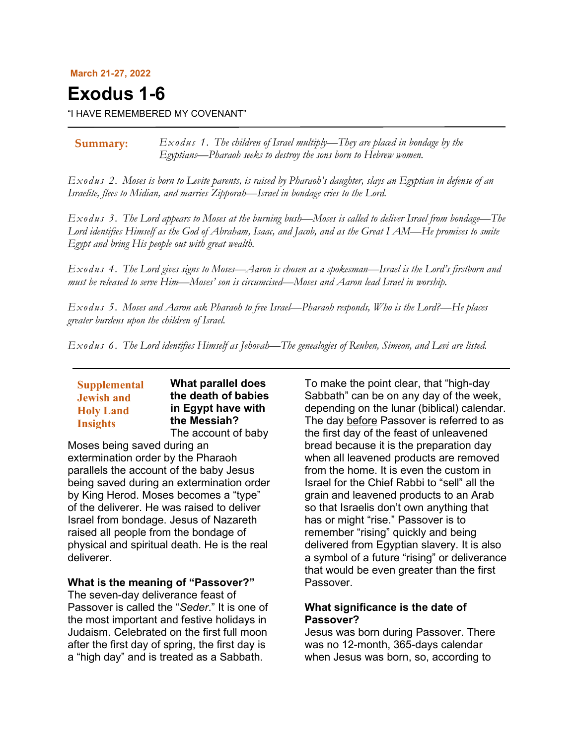#### **March 21-27, 2022**

# **Exodus 1-6**

"I HAVE REMEMBERED MY COVENANT"

*Exodus 1. The children of Israel multiply—They are placed in bondage by the Egyptians—Pharaoh seeks to destroy the sons born to Hebrew women.* **Summary:**

*Exodus 2. Moses is born to Levite parents, is raised by Pharaoh's daughter, slays an Egyptian in defense of an Israelite, flees to Midian, and marries Zipporah—Israel in bondage cries to the Lord.*

*Exodus 3. The Lord appears to Moses at the burning bush—Moses is called to deliver Israel from bondage—The Lord identifies Himself as the God of Abraham, Isaac, and Jacob, and as the Great I AM—He promises to smite Egypt and bring His people out with great wealth.*

*Exodus 4. The Lord gives signs to Moses—Aaron is chosen as a spokesman—Israel is the Lord's firstborn and must be released to serve Him—Moses' son is circumcised—Moses and Aaron lead Israel in worship.*

*Exodus 5. Moses and Aaron ask Pharaoh to free Israel—Pharaoh responds, Who is the Lord?—He places greater burdens upon the children of Israel.*

*Exodus 6. The Lord identifies Himself as Jehovah—The genealogies of Reuben, Simeon, and Levi are listed.*

# **Supplemental Jewish and Holy Land Insights**

**What parallel does the death of babies in Egypt have with the Messiah?** The account of baby

Moses being saved during an extermination order by the Pharaoh parallels the account of the baby Jesus being saved during an extermination order by King Herod. Moses becomes a "type" of the deliverer. He was raised to deliver Israel from bondage. Jesus of Nazareth raised all people from the bondage of physical and spiritual death. He is the real deliverer.

#### **What is the meaning of "Passover?"**

The seven-day deliverance feast of Passover is called the "*Seder*." It is one of the most important and festive holidays in Judaism. Celebrated on the first full moon after the first day of spring, the first day is a "high day" and is treated as a Sabbath.

To make the point clear, that "high-day Sabbath" can be on any day of the week, depending on the lunar (biblical) calendar. The day before Passover is referred to as the first day of the feast of unleavened bread because it is the preparation day when all leavened products are removed from the home. It is even the custom in Israel for the Chief Rabbi to "sell" all the grain and leavened products to an Arab so that Israelis don't own anything that has or might "rise." Passover is to remember "rising" quickly and being delivered from Egyptian slavery. It is also a symbol of a future "rising" or deliverance that would be even greater than the first Passover.

## **What significance is the date of Passover?**

Jesus was born during Passover. There was no 12-month, 365-days calendar when Jesus was born, so, according to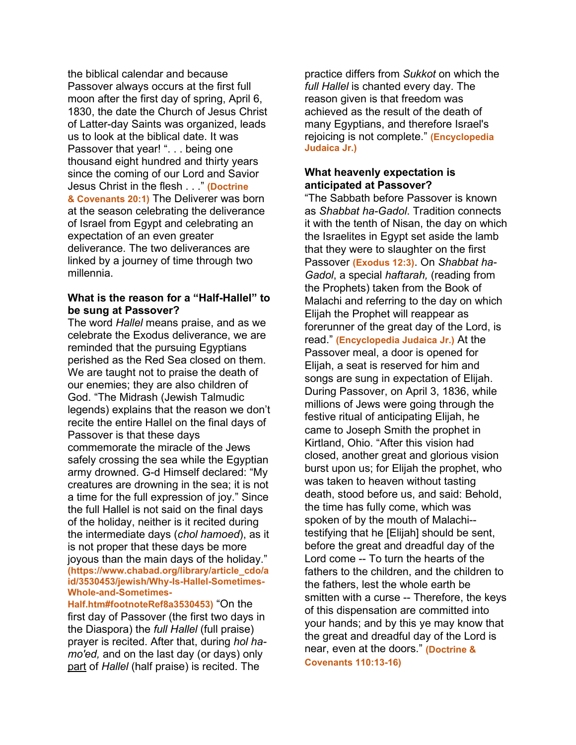the biblical calendar and because Passover always occurs at the first full moon after the first day of spring, April 6, 1830, the date the Church of Jesus Christ of Latter-day Saints was organized, leads us to look at the biblical date. It was Passover that year! ". . . being one thousand eight hundred and thirty years since the coming of our Lord and Savior Jesus Christ in the flesh . . ." **(Doctrine & Covenants 20:1)** The Deliverer was born at the season celebrating the deliverance of Israel from Egypt and celebrating an expectation of an even greater deliverance. The two deliverances are linked by a journey of time through two millennia.

## **What is the reason for a "Half-Hallel" to be sung at Passover?**

The word *Hallel* means praise, and as we celebrate the Exodus deliverance, we are reminded that the pursuing Egyptians perished as the Red Sea closed on them. We are taught not to praise the death of our enemies; they are also children of God. "The Midrash (Jewish Talmudic legends) explains that the reason we don't recite the entire Hallel on the final days of Passover is that these days commemorate the miracle of the Jews safely crossing the sea while the Egyptian army drowned. G-d Himself declared: "My creatures are drowning in the sea; it is not a time for the full expression of joy." Since the full Hallel is not said on the final days of the holiday, neither is it recited during the intermediate days (*chol hamoed*), as it is not proper that these days be more joyous than the main days of the holiday." **(https://www.chabad.org/library/article\_cdo/a id/3530453/jewish/Why-Is-Hallel-Sometimes-Whole-and-Sometimes-**

**Half.htm#footnoteRef8a3530453)** "On the first day of Passover (the first two days in the Diaspora) the *full Hallel* (full praise) prayer is recited. After that, during *hol hamo'ed,* and on the last day (or days) only part of *Hallel* (half praise) is recited. The

practice differs from *Sukkot* on which the *full Hallel* is chanted every day. The reason given is that freedom was achieved as the result of the death of many Egyptians, and therefore Israel's rejoicing is not complete." **(Encyclopedia Judaica Jr.)**

# **What heavenly expectation is anticipated at Passover?**

"The Sabbath before Passover is known as *Shabbat ha-Gadol*. Tradition connects it with the tenth of Nisan, the day on which the Israelites in Egypt set aside the lamb that they were to slaughter on the first Passover **(Exodus 12:3)**. On *Shabbat ha-Gadol*, a special *haftarah,* (reading from the Prophets) taken from the Book of Malachi and referring to the day on which Elijah the Prophet will reappear as forerunner of the great day of the Lord, is read." **(Encyclopedia Judaica Jr.)** At the Passover meal, a door is opened for Elijah, a seat is reserved for him and songs are sung in expectation of Elijah. During Passover, on April 3, 1836, while millions of Jews were going through the festive ritual of anticipating Elijah, he came to Joseph Smith the prophet in Kirtland, Ohio. "After this vision had closed, another great and glorious vision burst upon us; for Elijah the prophet, who was taken to heaven without tasting death, stood before us, and said: Behold, the time has fully come, which was spoken of by the mouth of Malachi- testifying that he [Elijah] should be sent, before the great and dreadful day of the Lord come -- To turn the hearts of the fathers to the children, and the children to the fathers, lest the whole earth be smitten with a curse -- Therefore, the keys of this dispensation are committed into your hands; and by this ye may know that the great and dreadful day of the Lord is near, even at the doors." **(Doctrine & Covenants 110:13-16)**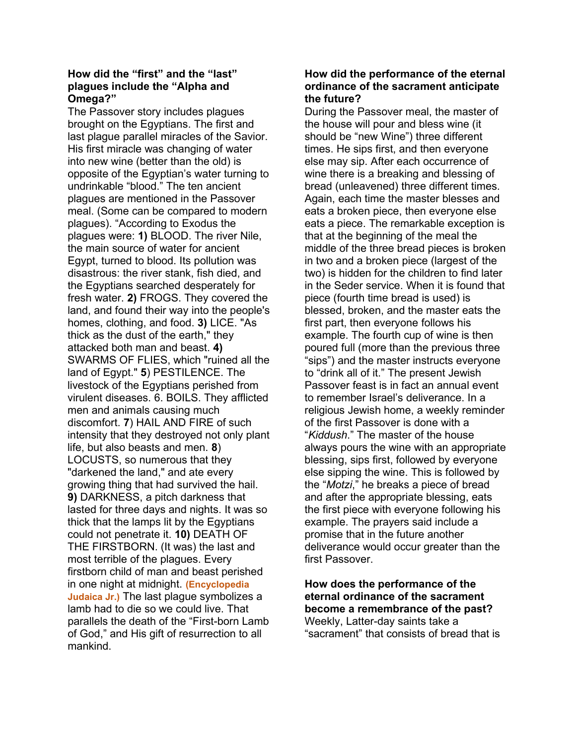# **How did the "first" and the "last" plagues include the "Alpha and Omega?"**

The Passover story includes plagues brought on the Egyptians. The first and last plague parallel miracles of the Savior. His first miracle was changing of water into new wine (better than the old) is opposite of the Egyptian's water turning to undrinkable "blood." The ten ancient plagues are mentioned in the Passover meal. (Some can be compared to modern plagues). "According to Exodus the plagues were: **1)** BLOOD. The river Nile, the main source of water for ancient Egypt, turned to blood. Its pollution was disastrous: the river stank, fish died, and the Egyptians searched desperately for fresh water. **2)** FROGS. They covered the land, and found their way into the people's homes, clothing, and food. **3)** LICE. "As thick as the dust of the earth," they attacked both man and beast. **4)** SWARMS OF FLIES, which "ruined all the land of Egypt." **5**) PESTILENCE. The livestock of the Egyptians perished from virulent diseases. 6. BOILS. They afflicted men and animals causing much discomfort. **7**) HAIL AND FIRE of such intensity that they destroyed not only plant life, but also beasts and men. **8**) LOCUSTS, so numerous that they "darkened the land," and ate every growing thing that had survived the hail. **9)** DARKNESS, a pitch darkness that lasted for three days and nights. It was so thick that the lamps lit by the Egyptians could not penetrate it. **10)** DEATH OF THE FIRSTBORN. (It was) the last and most terrible of the plagues. Every firstborn child of man and beast perished in one night at midnight. **(Encyclopedia Judaica Jr.)** The last plague symbolizes a lamb had to die so we could live. That parallels the death of the "First-born Lamb of God," and His gift of resurrection to all mankind.

# **How did the performance of the eternal ordinance of the sacrament anticipate the future?**

During the Passover meal, the master of the house will pour and bless wine (it should be "new Wine") three different times. He sips first, and then everyone else may sip. After each occurrence of wine there is a breaking and blessing of bread (unleavened) three different times. Again, each time the master blesses and eats a broken piece, then everyone else eats a piece. The remarkable exception is that at the beginning of the meal the middle of the three bread pieces is broken in two and a broken piece (largest of the two) is hidden for the children to find later in the Seder service. When it is found that piece (fourth time bread is used) is blessed, broken, and the master eats the first part, then everyone follows his example. The fourth cup of wine is then poured full (more than the previous three "sips") and the master instructs everyone to "drink all of it." The present Jewish Passover feast is in fact an annual event to remember Israel's deliverance. In a religious Jewish home, a weekly reminder of the first Passover is done with a "*Kiddush*." The master of the house always pours the wine with an appropriate blessing, sips first, followed by everyone else sipping the wine. This is followed by the "*Motzi*," he breaks a piece of bread and after the appropriate blessing, eats the first piece with everyone following his example. The prayers said include a promise that in the future another deliverance would occur greater than the first Passover.

**How does the performance of the eternal ordinance of the sacrament become a remembrance of the past?** Weekly, Latter-day saints take a "sacrament" that consists of bread that is